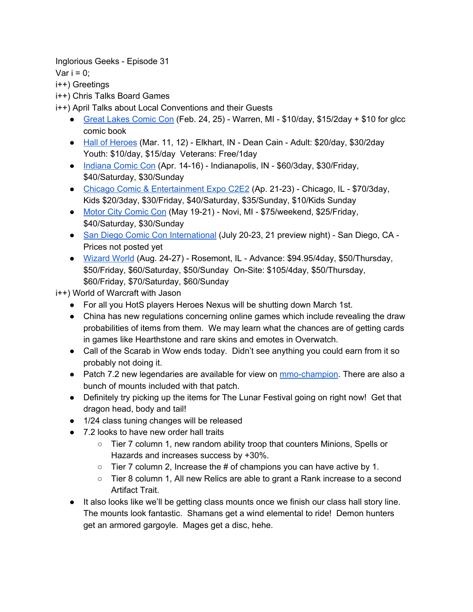Inglorious Geeks - Episode 31

Var  $i = 0$ :

i++) Greetings

i++) Chris Talks Board Games

i++) April Talks about Local Conventions and their Guests

- [Great Lakes Comic Con](http://www.greatlakescomiccon.org/) (Feb. 24, 25) Warren, MI \$10/day, \$15/2day + \$10 for glcc comic book
- [Hall of Heroes](https://www.hohcomiccon.org/) (Mar. 11, 12) Elkhart, IN Dean Cain Adult: \$20/day, \$30/2day Youth: \$10/day, \$15/day Veterans: Free/1day
- [Indiana Comic Con](http://indianacomiccon.com/) (Apr. 14-16) Indianapolis, IN \$60/3day, \$30/Friday, \$40/Saturday, \$30/Sunday
- [Chicago Comic &](http://www.c2e2.com/) Entertainment Expo C2E2 (Ap. 21-23) Chicago, IL \$70/3day, Kids \$20/3day, \$30/Friday, \$40/Saturday, \$35/Sunday, \$10/Kids Sunday
- [Motor City Comic](http://motorcitycomiccon.com/) Con (May 19-21) Novi, MI \$75/weekend, \$25/Friday, \$40/Saturday, \$30/Sunday
- [San Diego Comic Con](http://www.comic-con.org/) International (July 20-23, 21 preview night) San Diego, CA -Prices not posted yet
- [Wizard World](http://www.wizardworld.com/) (Aug. 24-27) Rosemont, IL Advance: \$94.95/4day, \$50/Thursday, \$50/Friday, \$60/Saturday, \$50/Sunday On-Site: \$105/4day, \$50/Thursday, \$60/Friday, \$70/Saturday, \$60/Sunday

i++) World of Warcraft with Jason

- For all you HotS players Heroes Nexus will be shutting down March 1st.
- China has new regulations concerning online games which include revealing the draw probabilities of items from them. We may learn what the chances are of getting cards in games like Hearthstone and rare skins and emotes in Overwatch.
- Call of the Scarab in Wow ends today. Didn't see anything you could earn from it so probably not doing it.
- Patch 7.2 new legendaries are available for view on [mmo-champion.](http://www.mmo-champion.com/content/6277-Call-of-the-Scarab-Lunar-Festival-Patch-7-2-New-Items-New-Order-Hall-Traits) There are also a bunch of mounts included with that patch.
- Definitely try picking up the items for The Lunar Festival going on right now! Get that dragon head, body and tail!
- 1/24 class tuning changes will be released
- 7.2 looks to have new order hall traits
	- Tier 7 column 1, new random ability troop that counters Minions, Spells or Hazards and increases success by +30%.
	- Tier 7 column 2, Increase the # of champions you can have active by 1.
	- Tier 8 column 1, All new Relics are able to grant a Rank increase to a second Artifact Trait.
- It also looks like we'll be getting class mounts once we finish our class hall story line. The mounts look fantastic. Shamans get a wind elemental to ride! Demon hunters get an armored gargoyle. Mages get a disc, hehe.